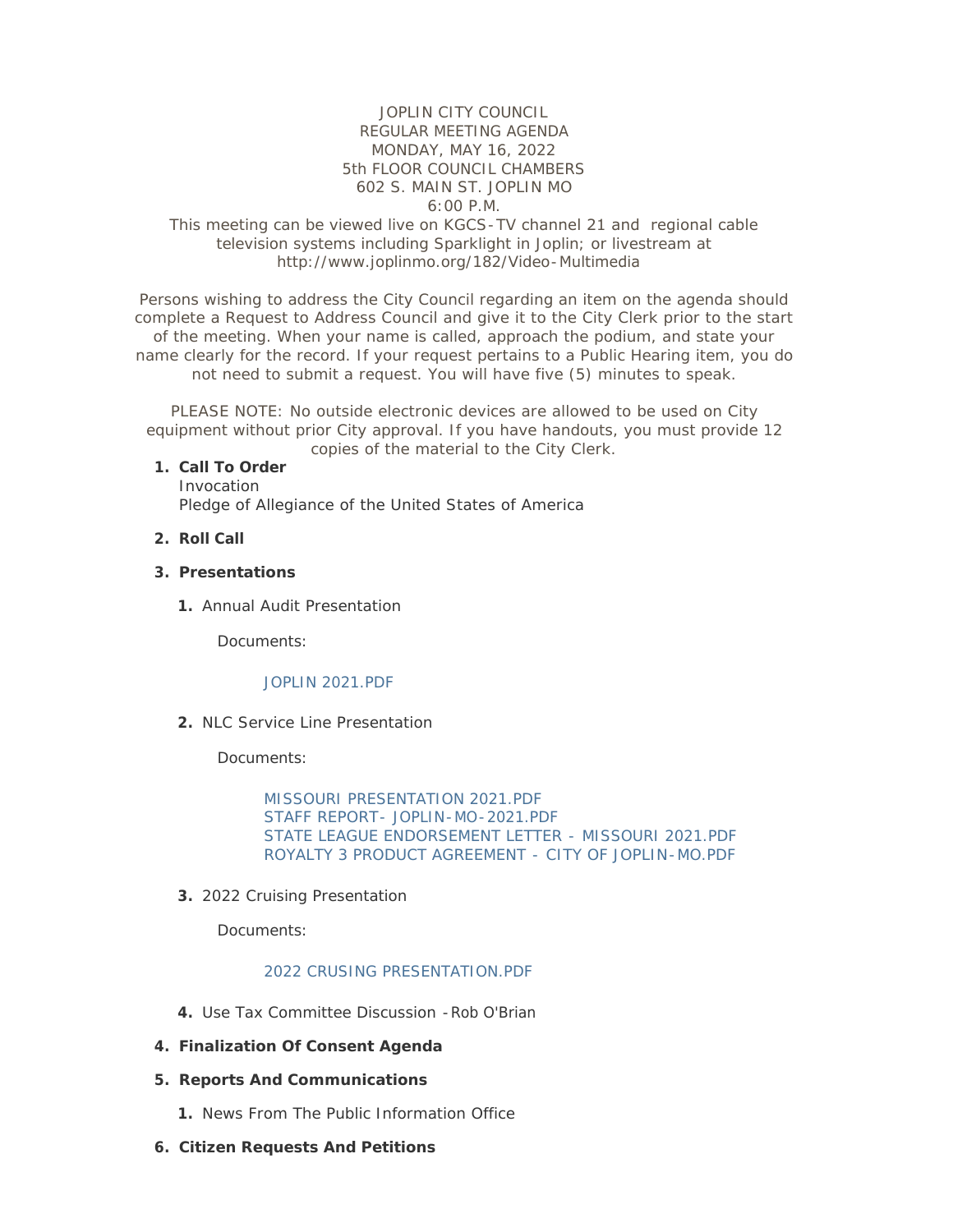## JOPLIN CITY COUNCIL REGULAR MEETING AGENDA MONDAY, MAY 16, 2022 5th FLOOR COUNCIL CHAMBERS 602 S. MAIN ST. JOPLIN MO 6:00 P.M.

## This meeting can be viewed live on KGCS-TV channel 21 and regional cable television systems including Sparklight in Joplin; or livestream at http://www.joplinmo.org/182/Video-Multimedia

Persons wishing to address the City Council regarding an item on the agenda should complete a Request to Address Council and give it to the City Clerk prior to the start of the meeting. When your name is called, approach the podium, and state your name clearly for the record. If your request pertains to a Public Hearing item, you do not need to submit a request. You will have five (5) minutes to speak.

PLEASE NOTE: No outside electronic devices are allowed to be used on City equipment without prior City approval. If you have handouts, you must provide 12 copies of the material to the City Clerk.

#### **Call To Order 1.**

Invocation Pledge of Allegiance of the United States of America

**Roll Call 2.**

#### **Presentations 3.**

1. Annual Audit Presentation

Documents:

### [JOPLIN 2021.PDF](http://www.joplinmo.org/AgendaCenter/ViewFile/Item/8510?fileID=51265)

2. NLC Service Line Presentation

Documents:

[MISSOURI PRESENTATION 2021.PDF](http://www.joplinmo.org/AgendaCenter/ViewFile/Item/8512?fileID=51259) [STAFF REPORT- JOPLIN-MO-2021.PDF](http://www.joplinmo.org/AgendaCenter/ViewFile/Item/8512?fileID=51261) [STATE LEAGUE ENDORSEMENT LETTER - MISSOURI 2021.PDF](http://www.joplinmo.org/AgendaCenter/ViewFile/Item/8512?fileID=51262) [ROYALTY 3 PRODUCT AGREEMENT - CITY OF JOPLIN-MO.PDF](http://www.joplinmo.org/AgendaCenter/ViewFile/Item/8512?fileID=51260)

**3.** 2022 Cruising Presentation

Documents:

### [2022 CRUSING PRESENTATION.PDF](http://www.joplinmo.org/AgendaCenter/ViewFile/Item/8511?fileID=51284)

Use Tax Committee Discussion -Rob O'Brian **4.**

### **Finalization Of Consent Agenda 4.**

- **Reports And Communications 5.**
	- 1. News From The Public Information Office
- **Citizen Requests And Petitions 6.**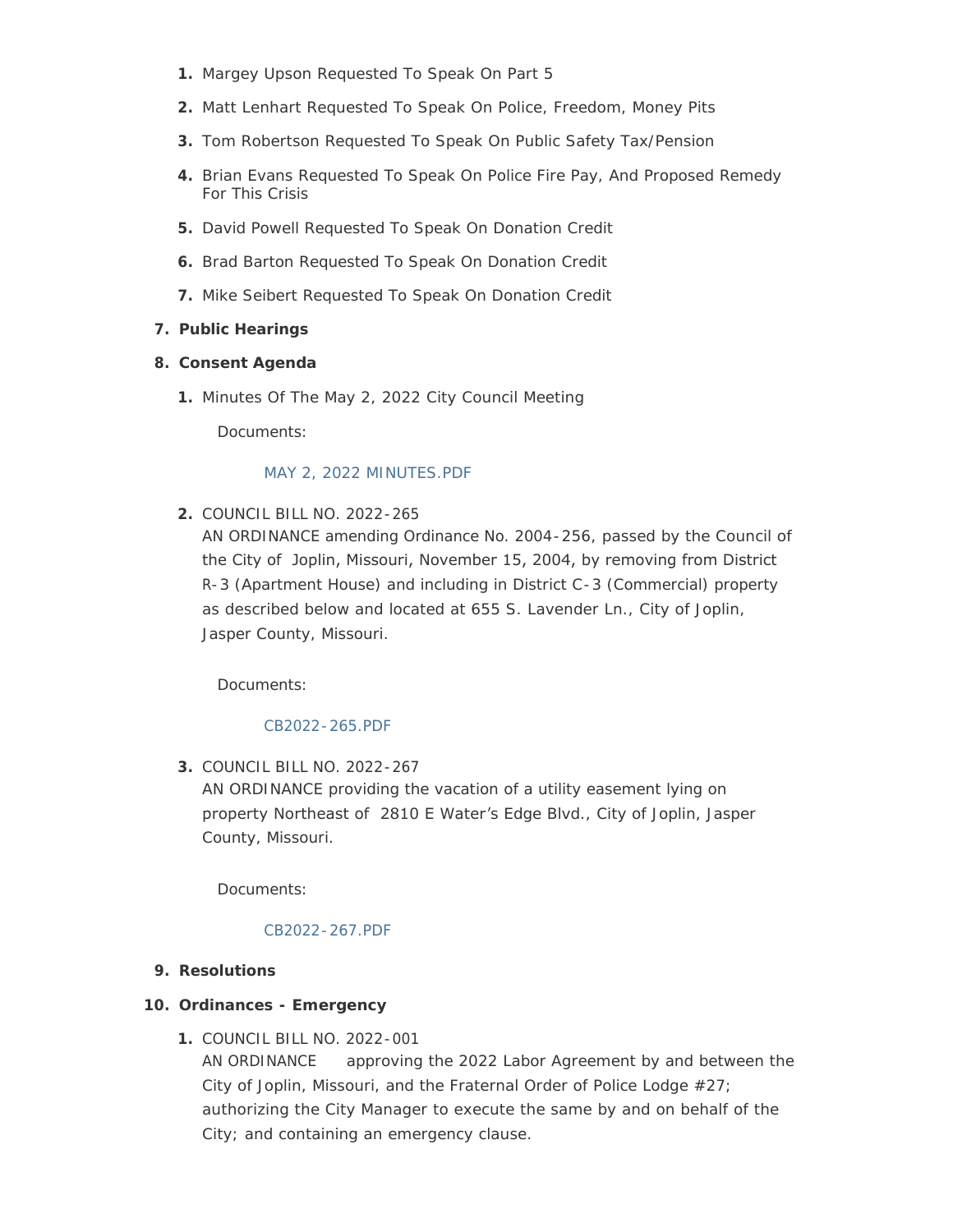- 1. Margey Upson Requested To Speak On Part 5
- Matt Lenhart Requested To Speak On Police, Freedom, Money Pits **2.**
- **3.** Tom Robertson Requested To Speak On Public Safety Tax/Pension
- Brian Evans Requested To Speak On Police Fire Pay, And Proposed Remedy **4.** For This Crisis
- **5.** David Powell Requested To Speak On Donation Credit
- **6.** Brad Barton Requested To Speak On Donation Credit
- **7.** Mike Seibert Requested To Speak On Donation Credit

# **Public Hearings 7.**

# **Consent Agenda 8.**

1. Minutes Of The May 2, 2022 City Council Meeting

Documents:

# [MAY 2, 2022 MINUTES.PDF](http://www.joplinmo.org/AgendaCenter/ViewFile/Item/8516?fileID=51258)

COUNCIL BILL NO. 2022-265 **2.**

AN ORDINANCE amending Ordinance No. 2004-256, passed by the Council of the City of Joplin, Missouri, November 15, 2004, by removing from District R-3 (Apartment House) and including in District C-3 (Commercial) property as described below and located at 655 S. Lavender Ln., City of Joplin, Jasper County, Missouri.

Documents:

# [CB2022-265.PDF](http://www.joplinmo.org/AgendaCenter/ViewFile/Item/8493?fileID=51073)

COUNCIL BILL NO. 2022-267 **3.** AN ORDINANCE providing the vacation of a utility easement lying on property Northeast of 2810 E Water's Edge Blvd., City of Joplin, Jasper County, Missouri.

Documents:

## [CB2022-267.PDF](http://www.joplinmo.org/AgendaCenter/ViewFile/Item/8494?fileID=51074)

## **Resolutions 9.**

# **Ordinances - Emergency 10.**

COUNCIL BILL NO. 2022-001 **1.**

AN ORDINANCE approving the 2022 Labor Agreement by and between the City of Joplin, Missouri, and the Fraternal Order of Police Lodge #27; authorizing the City Manager to execute the same by and on behalf of the City; and containing an emergency clause.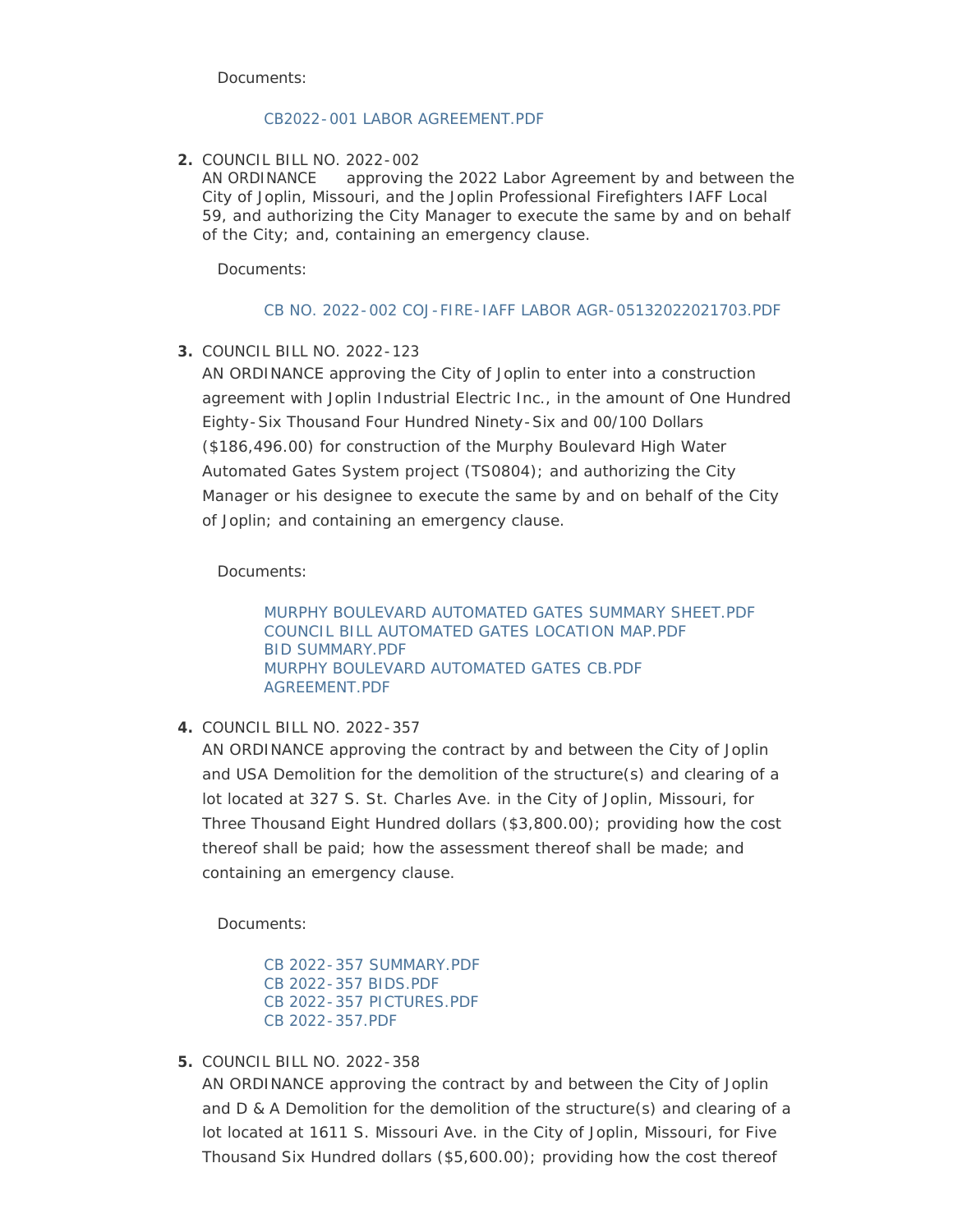Documents:

### [CB2022-001 LABOR AGREEMENT.PDF](http://www.joplinmo.org/AgendaCenter/ViewFile/Item/8517?fileID=51304)

COUNCIL BILL NO. 2022-002 **2.**

AN ORDINANCE approving the 2022 Labor Agreement by and between the City of Joplin, Missouri, and the Joplin Professional Firefighters IAFF Local 59, and authorizing the City Manager to execute the same by and on behalf of the City; and, containing an emergency clause.

Documents:

### [CB NO. 2022-002 COJ-FIRE-IAFF LABOR AGR-05132022021703.PDF](http://www.joplinmo.org/AgendaCenter/ViewFile/Item/8525?fileID=51303)

COUNCIL BILL NO. 2022-123 **3.**

AN ORDINANCE approving the City of Joplin to enter into a construction agreement with Joplin Industrial Electric Inc., in the amount of One Hundred Eighty-Six Thousand Four Hundred Ninety-Six and 00/100 Dollars (\$186,496.00) for construction of the Murphy Boulevard High Water Automated Gates System project (TS0804); and authorizing the City Manager or his designee to execute the same by and on behalf of the City of Joplin; and containing an emergency clause.

Documents:

[MURPHY BOULEVARD AUTOMATED GATES SUMMARY SHEET.PDF](http://www.joplinmo.org/AgendaCenter/ViewFile/Item/8505?fileID=51215) [COUNCIL BILL AUTOMATED GATES LOCATION MAP.PDF](http://www.joplinmo.org/AgendaCenter/ViewFile/Item/8505?fileID=51214) [BID SUMMARY.PDF](http://www.joplinmo.org/AgendaCenter/ViewFile/Item/8505?fileID=51216) [MURPHY BOULEVARD AUTOMATED GATES CB.PDF](http://www.joplinmo.org/AgendaCenter/ViewFile/Item/8505?fileID=51218) [AGREEMENT.PDF](http://www.joplinmo.org/AgendaCenter/ViewFile/Item/8505?fileID=51217)

COUNCIL BILL NO. 2022-357 **4.**

AN ORDINANCE approving the contract by and between the City of Joplin and USA Demolition for the demolition of the structure(s) and clearing of a lot located at 327 S. St. Charles Ave. in the City of Joplin, Missouri, for Three Thousand Eight Hundred dollars (\$3,800.00); providing how the cost thereof shall be paid; how the assessment thereof shall be made; and containing an emergency clause.

Documents:

[CB 2022-357 SUMMARY.PDF](http://www.joplinmo.org/AgendaCenter/ViewFile/Item/8496?fileID=51178) [CB 2022-357 BIDS.PDF](http://www.joplinmo.org/AgendaCenter/ViewFile/Item/8496?fileID=51176) [CB 2022-357 PICTURES.PDF](http://www.joplinmo.org/AgendaCenter/ViewFile/Item/8496?fileID=51177) [CB 2022-357.PDF](http://www.joplinmo.org/AgendaCenter/ViewFile/Item/8496?fileID=51179)

COUNCIL BILL NO. 2022-358 **5.**

AN ORDINANCE approving the contract by and between the City of Joplin and D & A Demolition for the demolition of the structure(s) and clearing of a lot located at 1611 S. Missouri Ave. in the City of Joplin, Missouri, for Five Thousand Six Hundred dollars (\$5,600.00); providing how the cost thereof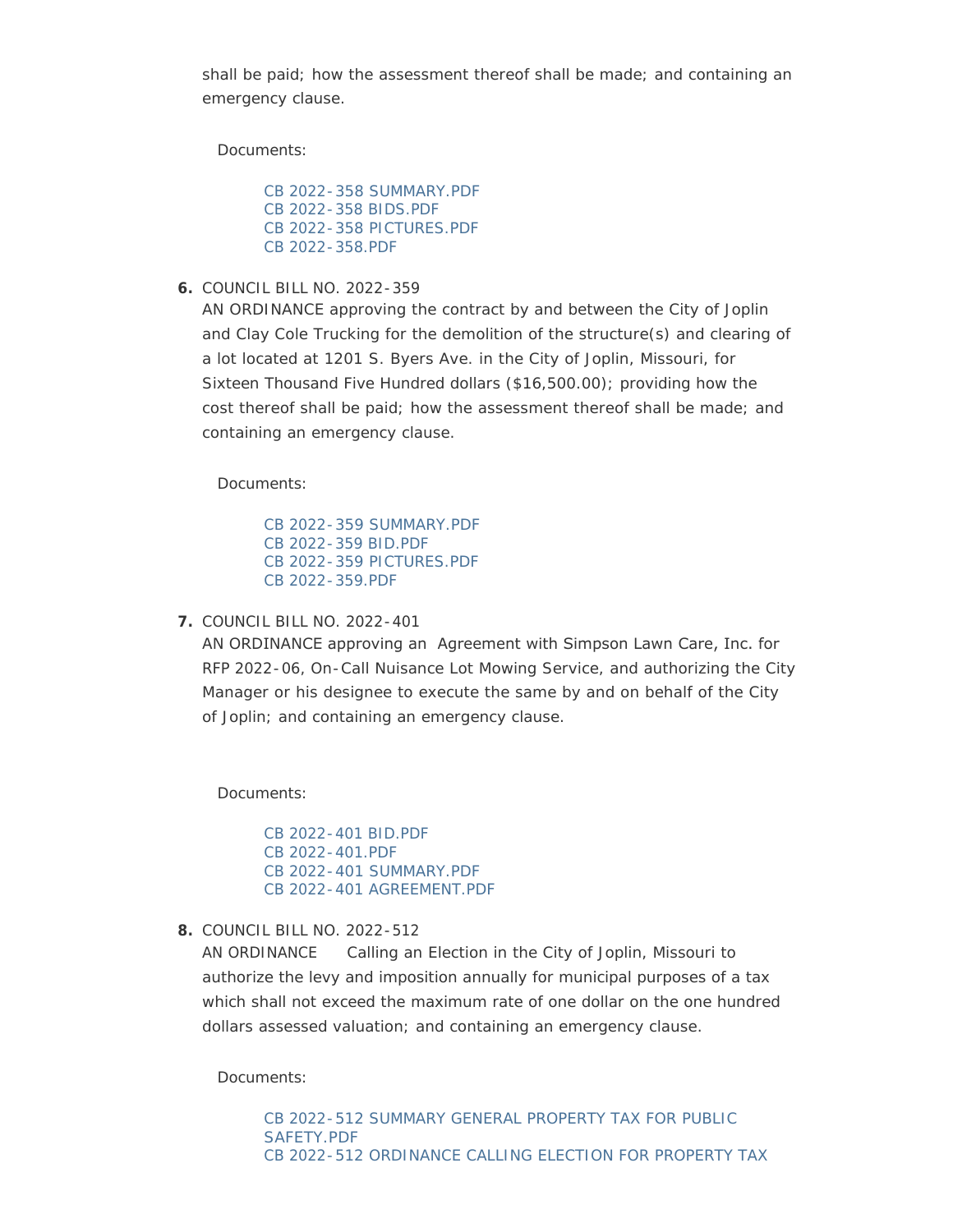shall be paid; how the assessment thereof shall be made; and containing an emergency clause.

Documents:

[CB 2022-358 SUMMARY.PDF](http://www.joplinmo.org/AgendaCenter/ViewFile/Item/8507?fileID=51224) [CB 2022-358 BIDS.PDF](http://www.joplinmo.org/AgendaCenter/ViewFile/Item/8507?fileID=51222) [CB 2022-358 PICTURES.PDF](http://www.joplinmo.org/AgendaCenter/ViewFile/Item/8507?fileID=51223) [CB 2022-358.PDF](http://www.joplinmo.org/AgendaCenter/ViewFile/Item/8507?fileID=51225)

COUNCIL BILL NO. 2022-359 **6.**

AN ORDINANCE approving the contract by and between the City of Joplin and Clay Cole Trucking for the demolition of the structure(s) and clearing of a lot located at 1201 S. Byers Ave. in the City of Joplin, Missouri, for Sixteen Thousand Five Hundred dollars (\$16,500.00); providing how the cost thereof shall be paid; how the assessment thereof shall be made; and containing an emergency clause.

Documents:

[CB 2022-359 SUMMARY.PDF](http://www.joplinmo.org/AgendaCenter/ViewFile/Item/8498?fileID=51186) [CB 2022-359 BID.PDF](http://www.joplinmo.org/AgendaCenter/ViewFile/Item/8498?fileID=51184) [CB 2022-359 PICTURES.PDF](http://www.joplinmo.org/AgendaCenter/ViewFile/Item/8498?fileID=51185) [CB 2022-359.PDF](http://www.joplinmo.org/AgendaCenter/ViewFile/Item/8498?fileID=51187)

COUNCIL BILL NO. 2022-401 **7.**

AN ORDINANCE approving an Agreement with Simpson Lawn Care, Inc. for RFP 2022-06, On-Call Nuisance Lot Mowing Service, and authorizing the City Manager or his designee to execute the same by and on behalf of the City of Joplin; and containing an emergency clause.

Documents:

[CB 2022-401 BID.PDF](http://www.joplinmo.org/AgendaCenter/ViewFile/Item/8499?fileID=51190) [CB 2022-401.PDF](http://www.joplinmo.org/AgendaCenter/ViewFile/Item/8499?fileID=51191) [CB 2022-401 SUMMARY.PDF](http://www.joplinmo.org/AgendaCenter/ViewFile/Item/8499?fileID=51241) [CB 2022-401 AGREEMENT.PDF](http://www.joplinmo.org/AgendaCenter/ViewFile/Item/8499?fileID=51283)

COUNCIL BILL NO. 2022-512 **8.**

AN ORDINANCE Calling an Election in the City of Joplin, Missouri to authorize the levy and imposition annually for municipal purposes of a tax which shall not exceed the maximum rate of one dollar on the one hundred dollars assessed valuation; and containing an emergency clause.

Documents: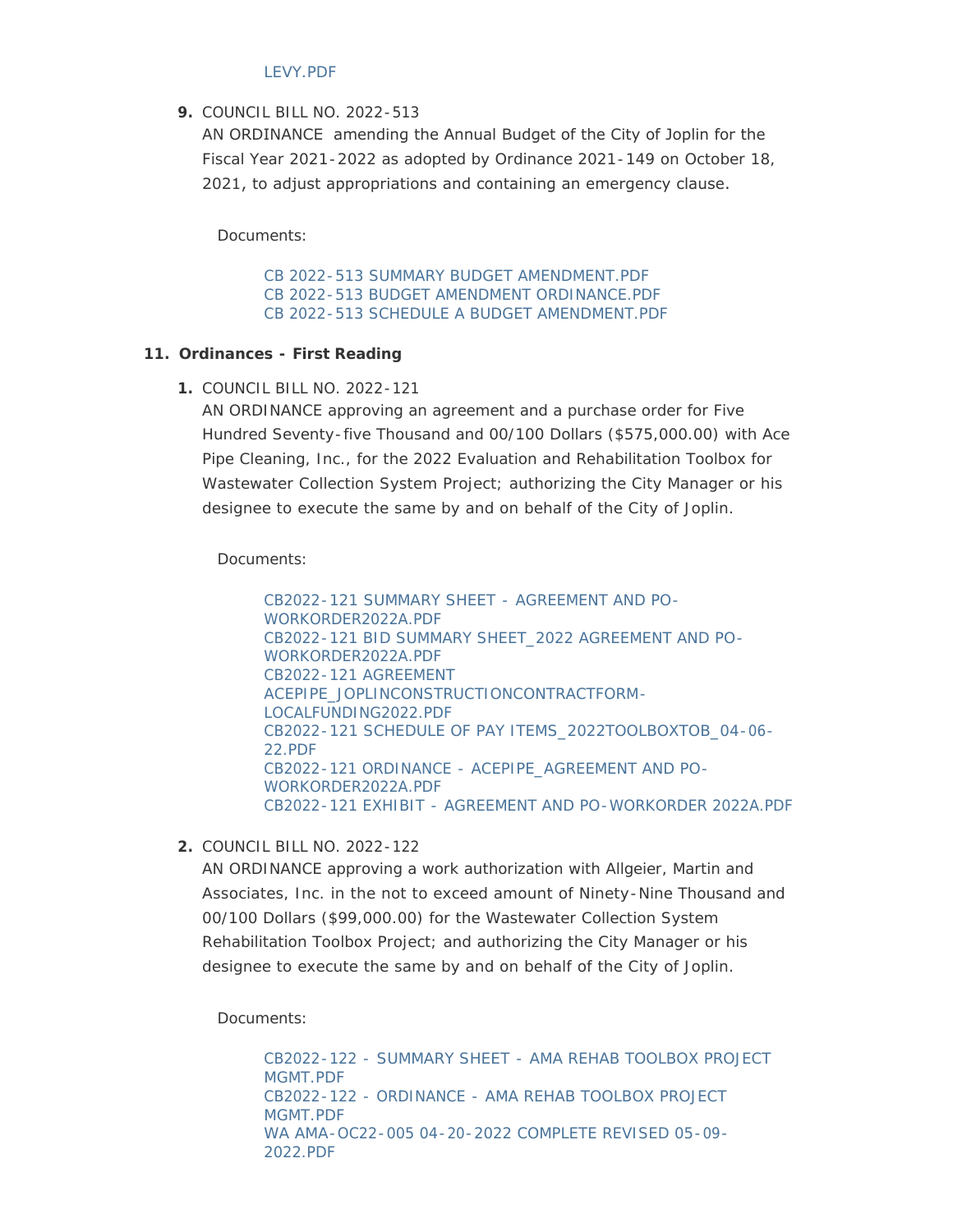### LEVY.PDF

### COUNCIL BILL NO. 2022-513 **9.**

AN ORDINANCE amending the Annual Budget of the City of Joplin for the Fiscal Year 2021-2022 as adopted by Ordinance 2021-149 on October 18, 2021, to adjust appropriations and containing an emergency clause.

Documents:

[CB 2022-513 SUMMARY BUDGET AMENDMENT.PDF](http://www.joplinmo.org/AgendaCenter/ViewFile/Item/8509?fileID=51238) [CB 2022-513 BUDGET AMENDMENT ORDINANCE.PDF](http://www.joplinmo.org/AgendaCenter/ViewFile/Item/8509?fileID=51239) [CB 2022-513 SCHEDULE A BUDGET AMENDMENT.PDF](http://www.joplinmo.org/AgendaCenter/ViewFile/Item/8509?fileID=51237)

### **Ordinances - First Reading 11.**

COUNCIL BILL NO. 2022-121 **1.**

AN ORDINANCE approving an agreement and a purchase order for Five Hundred Seventy-five Thousand and 00/100 Dollars (\$575,000.00) with Ace Pipe Cleaning, Inc., for the 2022 Evaluation and Rehabilitation Toolbox for Wastewater Collection System Project; authorizing the City Manager or his designee to execute the same by and on behalf of the City of Joplin.

Documents:

[CB2022-121 SUMMARY SHEET - AGREEMENT AND PO-](http://www.joplinmo.org/AgendaCenter/ViewFile/Item/8500?fileID=51196)WORKORDER2022A.PDF [CB2022-121 BID SUMMARY SHEET\\_2022 AGREEMENT AND PO-](http://www.joplinmo.org/AgendaCenter/ViewFile/Item/8500?fileID=51195)WORKORDER2022A.PDF CB2022-121 AGREEMENT [ACEPIPE\\_JOPLINCONSTRUCTIONCONTRACTFORM-](http://www.joplinmo.org/AgendaCenter/ViewFile/Item/8500?fileID=51193)LOCALFUNDING2022.PDF [CB2022-121 SCHEDULE OF PAY ITEMS\\_2022TOOLBOXTOB\\_04-06-](http://www.joplinmo.org/AgendaCenter/ViewFile/Item/8500?fileID=51194) 22.PDF [CB2022-121 ORDINANCE - ACEPIPE\\_AGREEMENT AND PO-](http://www.joplinmo.org/AgendaCenter/ViewFile/Item/8500?fileID=51197)WORKORDER2022A.PDF [CB2022-121 EXHIBIT - AGREEMENT AND PO-WORKORDER 2022A.PDF](http://www.joplinmo.org/AgendaCenter/ViewFile/Item/8500?fileID=51192)

COUNCIL BILL NO. 2022-122 **2.**

AN ORDINANCE approving a work authorization with Allgeier, Martin and Associates, Inc. in the not to exceed amount of Ninety-Nine Thousand and 00/100 Dollars (\$99,000.00) for the Wastewater Collection System Rehabilitation Toolbox Project; and authorizing the City Manager or his designee to execute the same by and on behalf of the City of Joplin.

Documents:

[CB2022-122 - SUMMARY SHEET - AMA REHAB TOOLBOX PROJECT](http://www.joplinmo.org/AgendaCenter/ViewFile/Item/8506?fileID=51220)  MGMT.PDF [CB2022-122 - ORDINANCE - AMA REHAB TOOLBOX PROJECT](http://www.joplinmo.org/AgendaCenter/ViewFile/Item/8506?fileID=51219)  MGMT.PDF [WA AMA-OC22-005 04-20-2022 COMPLETE REVISED 05-09-](http://www.joplinmo.org/AgendaCenter/ViewFile/Item/8506?fileID=51221) 2022.PDF